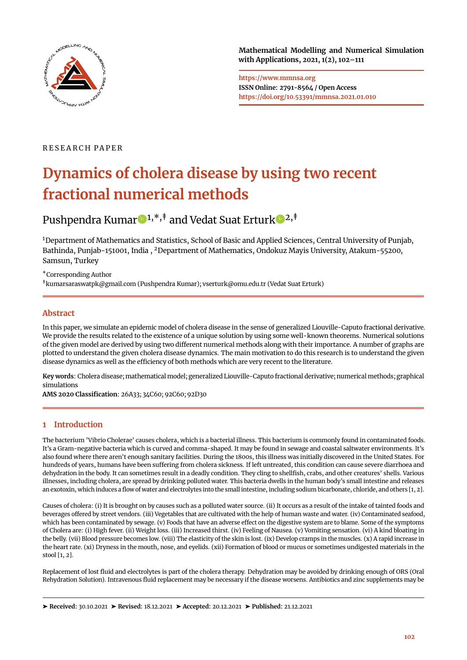

**Mathematical Modelling and Numerical Simulation with Applications, 2021, 1(2), 102[–111](#page-9-0)**

**https://www.mmnsa.org ISSN Online: 2791-8564 / Open Access https://doi.org/10.53391/mmnsa.2021.01.010**

# R E S E A R C H P A P E R

# **Dynamics of cholera disease by using two recent fractional numerical methods**

Pushpend[r](https://orcid.org/0000-0002-7755-2837)a Kumar $\bigcirc 1, *, \dagger$  and Vedat Suat Ertur[k](https://orcid.org/0000-0002-1322-8843)  $\bigcirc 2, \dagger$ 

<sup>1</sup>Department of Mathematics and Statistics, School of Basic and Applied Sciences, Central University of Punjab, Bathinda, Punjab-151001, India , <sup>2</sup>Department of Mathematics, Ondokuz Mayis University, Atakum-55200, Samsun, Turkey

\*Corresponding Author

‡kumarsaraswatpk@gmail.com (Pushpendra Kumar); vserturk@omu.edu.tr (Vedat Suat Erturk)

# **Abstract**

In this paper, we simulate an epidemic model of cholera disease in the sense of generalized Liouville-Caputo fractional derivative. We provide the results related to the existence of a unique solution by using some well-known theorems. Numerical solutions of the given model are derived by using two different numerical methods along with their importance. A number of graphs are plotted to understand the given cholera disease dynamics. The main motivation to do this research is to understand the given disease dynamics as well as the efficiency of both methods which are very recent to the literature.

**Key words**: Cholera disease; mathematical model; generalized Liouville-Caputo fractional derivative; numerical methods; graphical simulations

**AMS 2020 Classification**: 26A33; 34C60; 92C60; 92D30

# **1 Introduction**

The bacterium 'Vibrio Cholerae' causes cholera, which is a bacterial illness. This bacterium is commonly found in contaminated foods. It's a Gram-negative bacteria which is curved and comma-shaped. It may be found in sewage and coastal saltwater environments. It's also found where there aren't enough sanitary facilities. During the 1800s, this illness was initially discovered in the United States. For hundreds of years, humans have been suffering from cholera sickness. If left untreated, this condition can cause severe diarrhoea and dehydration in the body. It can sometimes result in a deadly condition. They cling to shellfish, crabs, and other creatures' shells. Various illnesses, including cholera, are spread by drinking polluted water. This bacteria dwells in the human body's small intestine and releases an exotoxin, which induces a flow of water and electrolytes into the small intestine, including sodium bicarbonate, chloride, and others [\[1,](#page-8-0) [2\]](#page-8-1).

Causes of cholera: (i) It is brought on by causes such as a polluted water source. (ii) It occurs as a result of the intake of tainted foods and beverages offered by street vendors. (iii) Vegetables that are cultivated with the help of human waste and water. (iv) Contaminated seafood, which has been contaminated by sewage. (v) Foods that have an adverse effect on the digestive system are to blame. Some of the symptoms of Cholera are: (i) High fever. (ii) Weight loss. (iii) Increased thirst. (iv) Feeling of Nausea. (v) Vomiting sensation. (vi) A kind bloating in the belly. (vii) Blood pressure becomes low. (viii) The elasticity of the skin is lost. (ix) Develop cramps in the muscles. (x) A rapid increase in the heart rate. (xi) Dryness in the mouth, nose, and eyelids. (xii) Formation of blood or mucus or sometimes undigested materials in the stool  $\lceil 1, 2 \rceil$ .

Replacement of lost fluid and electrolytes is part of the cholera therapy. Dehydration may be avoided by drinking enough of ORS (Oral Rehydration Solution). Intravenous fluid replacement may be necessary if the disease worsens. Antibiotics and zinc supplements may be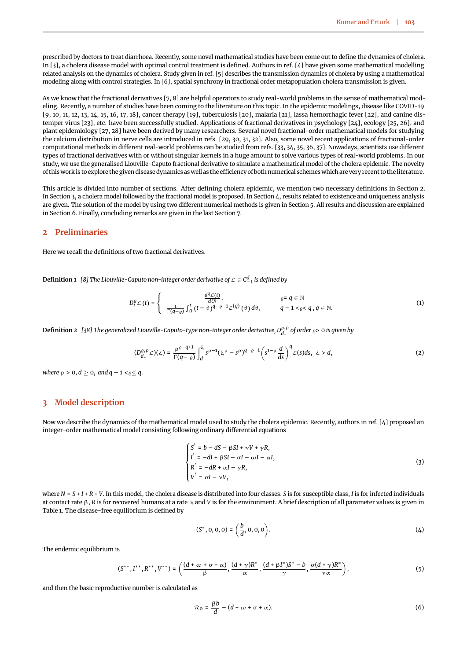prescribed by doctors to treat diarrhoea. Recently, some novel mathematical studies have been come out to define the dynamics of cholera. In [\[3\]](#page-8-2), a cholera disease model with optimal control treatment is defined. Authors in ref. [\[4\]](#page-8-3) have given some mathematical modelling related analysis on the dynamics of cholera. Study given in ref. [\[5\]](#page-8-4) describes the transmission dynamics of cholera by using a mathematical modeling along with control strategies. In [\[6\]](#page-8-5), spatial synchrony in fractional order metapopulation cholera transmission is given.

As we know that the fractional derivatives [\[7,](#page-8-6) [8\]](#page-8-7) are helpful operators to study real-world problems in the sense of mathematical modeling. Recently, a number of studies have been coming to the literature on this topic. In the epidemic modelings, disease like COVID-19 [\[9,](#page-8-8) [10,](#page-8-9) [11,](#page-8-10) [12,](#page-8-11) [13,](#page-8-12) [14,](#page-8-13) [15,](#page-8-14) [16,](#page-8-15) [17,](#page-8-16) [18\]](#page-8-17), cancer therapy [\[19\]](#page-8-18), tuberculosis [\[20\]](#page-8-19), malaria [\[21\]](#page-8-20), lassa hemorrhagic fever [\[22\]](#page-8-21), and canine distemper virus [\[23\]](#page-8-22), etc. have been successfully studied. Applications of fractional derivatives in psychology [\[24\]](#page-9-1), ecology [\[25,](#page-9-2) [26\]](#page-9-3), and plant epidemiology [\[27,](#page-9-4) [28\]](#page-9-5) have been derived by many researchers. Several novel fractional-order mathematical models for studying the calcium distribution in nerve cells are introduced in refs. [\[29,](#page-9-6) [30,](#page-9-7) [31,](#page-9-8) [32\]](#page-9-9). Also, some novel recent applications of fractional-order computational methods in different real-world problems can be studied from refs. [\[33,](#page-9-10) [34,](#page-9-11) [35,](#page-9-12) [36,](#page-9-13) [37\]](#page-9-14). Nowadays, scientists use different types of fractional derivatives with or without singular kernels in a huge amount to solve various types of real-world problems. In our study, we use the generalised Liouville-Caputo fractional derivative to simulate a mathematical model of the cholera epidemic. The novelty of this work is to explore the given disease dynamics as well as the efficiency of both numerical schemes which are very recent to the literature.

This article is divided into number of sections. After defining cholera epidemic, we mention two necessary definitions in Section [2.](#page-1-0) In Section [3,](#page-1-1) a cholera model followed by the fractional model is proposed. In Section [4,](#page-2-0) results related to existence and uniqueness analysis are given. The solution of the model by using two different numerical methods is given in Section [5.](#page-3-0) All results and discussion are explained in Section [6.](#page-5-0) Finally, concluding remarks are given in the last Section [7.](#page-7-0)

## <span id="page-1-0"></span>**2 Preliminaries**

Here we recall the definitions of two fractional derivatives.

**Definition 1**  $[8]$  The Liouville-Caputo non-integer order derivative of  $\mathcal{L} \in \textnormal{C}_{-1}^d$  is defined by

$$
D_t^{\varrho} \mathcal{L}(t) = \begin{cases} \frac{d^q \mathcal{L}(t)}{d \zeta^q}, & \varrho = q \in \mathbb{N} \\ \frac{1}{\Gamma(q-\varrho)} \int_0^t (t-\vartheta)^{q-\varrho-1} \mathcal{L}^{(q)}(\vartheta) d\vartheta, & q-1 < \varrho < q, q \in \mathbb{N}. \end{cases}
$$
(1)

 $Definition 2$  [\[38\]](#page-9-15) The generalized Liouville-Caputo-type non-integer order derivative,  $D_{d_+}^{\varrho,\rho}$  of order  $_\varrho$ > 0 is given by

$$
(D_{d_+}^{\varrho,\rho}\mathcal{L})(\xi) = \frac{\rho^{\varrho-q+1}}{\Gamma(q-\varrho)}\int_d^{\xi} s^{\rho-1}(\xi^{\rho}-s^{\rho})^{q-\varrho-1}\left(s^{1-\rho}\frac{d}{ds}\right)^q \mathcal{L}(s)ds, \ \xi > d,
$$
 (2)

*where*  $\rho > 0$ ,  $d \geq 0$ , and  $q - 1 < \rho \leq q$ .

## <span id="page-1-1"></span>**3 Model description**

Now we describe the dynamics of the mathematical model used to study the cholera epidemic. Recently, authors in ref. [\[4\]](#page-8-3) proposed an integer-order mathematical model consisting following ordinary differential equations

<span id="page-1-2"></span>
$$
\begin{cases}\nS' = b - dS - \beta SI + \nu V + \gamma R, \\
I' = -dI + \beta SI - \sigma I - \omega I - \alpha I, \\
R' = -dR + \alpha I - \gamma R, \\
V' = \sigma I - \nu V,\n\end{cases} \tag{3}
$$

where *N* = *S* + *I* + *R* + *V*. In this model, the cholera disease is distributed into four classes. *S* is for susceptible class, *I* is for infected individuals at contact rate β, *R* is for recovered humans at a rate α and *V* is for the environment. A brief description of all parameter values is given in Table [1.](#page-2-1) The disease-free equilibrium is defined by

$$
(S^*, 0, 0, 0) = \left(\frac{b}{d}, 0, 0, 0\right). \tag{4}
$$

The endemic equilibrium is

$$
(S^{**},I^{**},R^{**},V^{**})=\left(\frac{(d+\omega+\sigma+\alpha)}{\beta},\frac{(d+\gamma)R^*}{\alpha},\frac{(d+\beta I^*)S^*-b}{\gamma},\frac{\sigma(d+\gamma)R^*}{\gamma\alpha}\right),\tag{5}
$$

and then the basic reproductive number is calculated as

$$
\mathcal{R}_0 = \frac{\beta b}{d} - (d + \omega + \sigma + \alpha). \tag{6}
$$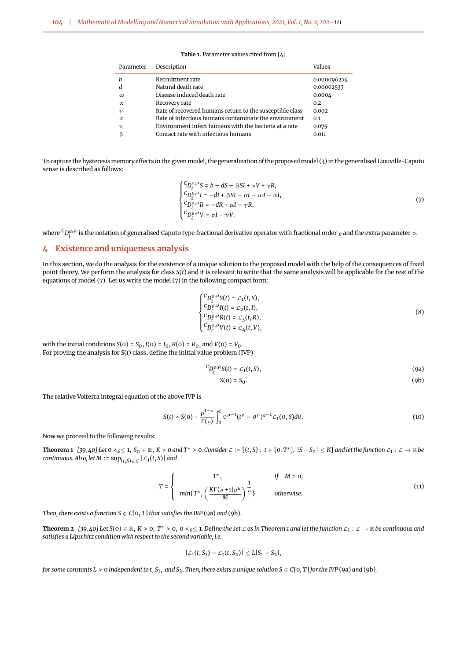<span id="page-2-1"></span>

| Parameter    | Description                                              | Values      |
|--------------|----------------------------------------------------------|-------------|
| h            | Recruitment rate                                         | 0.000096274 |
| d            | Natural death rate                                       | 0.00002537  |
| $\omega$     | Disease induced death rate                               | 0.0004      |
| $\alpha$     | Recovery rate                                            | 0.2         |
| $\mathcal V$ | Rate of recovered humans return to the susceptible class | 0.002       |
| $\sigma$     | Rate of infectious humans contaminate the environment    | 0.1         |
| $\mathsf{v}$ | Environment infect humans with the bacteria at a rate    | 0.075       |
| β            | Contact rate with infectious humans                      | 0.011       |

**Table 1.** Parameter values cited from [\[4\]](#page-8-3)

To capture the hysteresis memory effects in the given model, the generalization of the proposed model [\(3\)](#page-1-2) in the generalised Liouville-Caputo sense is described as follows:

<span id="page-2-2"></span>
$$
\begin{cases}\nC_{D_t^{\rho}, \rho} S = b - dS - \beta SI + \nu V + \gamma R, \\
C_{D_t^{\rho}, \rho} I = -dI + \beta SI - \sigma I - \omega I - \alpha I, \\
C_{D_t^{\rho}, \rho} R = -dR + \alpha I - \gamma R, \\
C_{D_t^{\rho}, \rho} V = \sigma I - \nu V.\n\end{cases} \tag{7}
$$

where  ${}^C D_t^{\varrho,\rho}$  is the notation of generalised Caputo type fractional derivative operator with fractional order  $_\varrho$  and the extra parameter  $\rho$ .

## <span id="page-2-0"></span>**4 Existence and uniqueness analysis**

In this section, we do the analysis for the existence of a unique solution to the proposed model with the help of the consequences of fixed point theory. We perform the analysis for class *S*(*t*) and it is relevant to write that the same analysis will be applicable for the rest of the equations of model [\(7\)](#page-2-2). Let us write the model [\(7\)](#page-2-2) in the following compact form:

$$
\begin{cases}\nC_{D_t^{\rho,\rho}} S(t) = \mathcal{L}_1(t, S), \\
C_{D_t^{\rho,\rho}} I(t) = \mathcal{L}_2(t, I), \\
C_{D_t^{\rho,\rho}} P(t) = \mathcal{L}_3(t, R), \\
C_{D_t^{\rho,\rho}} V(t) = \mathcal{L}_4(t, V),\n\end{cases} \tag{8}
$$

with the initial conditions *S*(0) = *S*<sub>0</sub>, *I*(0) = *I*<sub>0</sub>, *R*(0) = *R*<sub>0</sub>, and *V*(0) = *V*<sub>0</sub>. For proving the analysis for *S*(*t*) class, define the initial value problem (IVP)

$$
{}^{C}D_{t}^{\varrho,\rho}S(t)=\mathcal{L}_{1}(t,S), \qquad (9a)
$$

<span id="page-2-6"></span><span id="page-2-4"></span><span id="page-2-3"></span>
$$
S(0) = S_0. \tag{9b}
$$

The relative Volterra integral equation of the above IVP is

<span id="page-2-5"></span>
$$
S(t) = S(0) + \frac{\rho^{1-\varrho}}{\Gamma(\varrho)} \int_0^t \theta^{\rho-1} (t^{\rho} - \theta^{\rho})^{\varrho-1} \mathcal{L}_1(\theta, S) d\theta.
$$
 (10)

Now we proceed to the following results:

**Theorem 1** [\[39,](#page-9-16) [40\]](#page-9-17) Let  $0 \lt \varrho \le 1$ ,  $S_0 \in \mathbb{R}$ ,  $K > 0$  and  $T^* > 0$ . Consider  $\mathcal{L} := \{(t, S) : t \in [0, T^*], |S - S_0| \le K\}$  and let the function  $\mathcal{L}_1 : \mathcal{L} \to \mathbb{R}$  be *continuous. Also, let M* :=  $\sup_{(t,s)\in\mathcal{L}}|L_1(t,s)|$  *and* 

$$
T = \begin{cases} T^*, & \text{if } M = 0, \\ min\{T^*, \left(\frac{K\Gamma(\varrho + 1)\rho^{\varrho}}{M}\right)^{\frac{1}{\varrho}}\} & \text{otherwise.} \end{cases}
$$
(11)

*Then, there exists a function*  $S \in C[0, T]$  *that satisfies the IVP* [\(9a\)](#page-2-3) *and* [\(9b\)](#page-2-4).

**Theorem 2**  $[39, 40]$  $[39, 40]$  $[39, 40]$  Let  $S(0) \in \mathbb{R}$ ,  $K > 0$ ,  $T^* > 0$ ,  $0 < \varrho \le 1$ . Define the set  $\mathcal{L}$  as in Theorem 1 and let the function  $\mathcal{L}_1 : \mathcal{L} \to \mathbb{R}$  be continuous and *satisfies a Lipschitz condition with respect to the second variable, i.e.*

$$
|\mathcal{L}_1(t, S_1) - \mathcal{L}_1(t, S_2)| \leq L|S_1 - S_2|,
$$

for some constants  $L > 0$  independent to t,  $S_1$ , and  $S_2$ . Then, there exists a unique solution  $S \in C[0,T]$  for the IVP [\(9a\)](#page-2-3) and [\(9b\)](#page-2-4).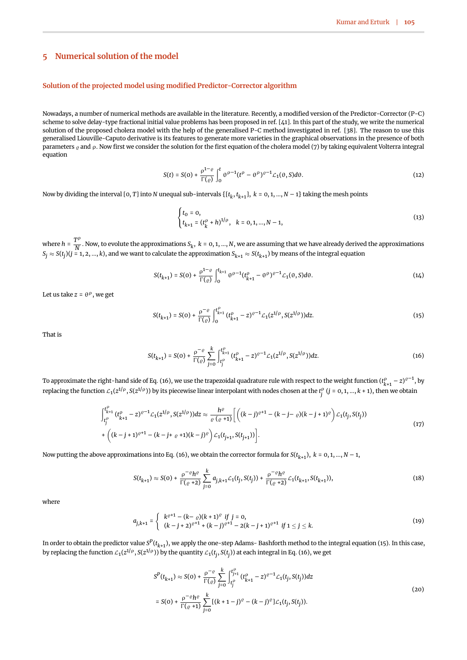## <span id="page-3-0"></span>**5 Numerical solution of the model**

#### **Solution of the projected model using modified Predictor-Corrector algorithm**

Nowadays, a number of numerical methods are available in the literature. Recently, a modified version of the Predictor-Corrector (P-C) scheme to solve delay-type fractional initial value problems has been proposed in ref. [\[41\]](#page-9-18). In this part of the study, we write the numerical solution of the proposed cholera model with the help of the generalised P-C method investigated in ref. [\[38\]](#page-9-15). The reason to use this generalised Liouville-Caputo derivative is its features to generate more varieties in the graphical observations in the presence of both parameters  $\rho$  and  $\rho$ . Now first we consider the solution for the first equation of the cholera model [\(7\)](#page-2-2) by taking equivalent Volterra integral equation

$$
S(t) = S(0) + \frac{\rho^{1-\varrho}}{\Gamma(\varrho)} \int_0^t \theta^{\rho-1} (t^{\rho} - \theta^{\rho})^{\varrho-1} \mathcal{L}_1(\theta, S) d\theta.
$$
 (12)

Now by dividing the interval [0, T] into  $N$  unequal sub-intervals  $\{[t_k,t_{k+1}],\ k=0,1,...,N-1\}$  taking the mesh points

$$
\begin{cases} t_0 = 0, \\ t_{k+1} = (t_k^{\rho} + h)^{1/\rho}, \quad k = 0, 1, ..., N-1, \end{cases}
$$
\n(13)

where  $h = \frac{T^{\rho}}{N}$  $\overline{N}$  . Now, to evolute the approximations  $S_k$ ,  $k = 0, 1, ..., N$ , we are assuming that we have already derived the approximations  $S_j\approx S(t_j)(j=1,2,...,k),$  and we want to calculate the approximation  $S_{k+1}\approx S(t_{k+1})$  by means of the integral equation

$$
S(t_{k+1}) = S(0) + \frac{\rho^{1-\varrho}}{\Gamma(\varrho)} \int_0^{t_{k+1}} \theta^{\rho-1} (t_{k+1}^{\rho} - \theta^{\rho})^{\varrho-1} \mathcal{L}_1(\theta, S) d\theta.
$$
 (14)

Let us take *z* = θ<sup>ρ</sup>, we get

<span id="page-3-2"></span>
$$
S(t_{k+1}) = S(0) + \frac{\rho^{-\varrho}}{\Gamma(\varrho)} \int_0^{t_{k+1}^{\rho}} (t_{k+1}^{\rho} - z)^{\varrho-1} \mathcal{L}_1(z^{1/\rho}, S(z^{1/\rho})) dz.
$$
 (15)

<span id="page-3-1"></span>That is

$$
S(t_{k+1}) = S(0) + \frac{\rho^{-\varrho}}{\Gamma(\varrho)} \sum_{j=0}^{k} \int_{t_j^{\rho}}^{t_{k+1}^{\rho}} (t_{k+1}^{\rho} - z)^{\varrho-1} \mathcal{L}_1(z^{1/\rho}, S(z^{1/\rho})) dz.
$$
 (16)

To approximate the right-hand side of Eq. [\(16\)](#page-3-1), we use the trapezoidal quadrature rule with respect to the weight function  $(t^\rho_{k+1}-z)^{\varrho-1}$ , by replacing the function  $\mathcal{L}_1(z^{1/\rho},S(z^{1/\rho}))$  by its piecewise linear interpolant with nodes chosen at the  $t_j^\rho$  ( $j=0,1,...,k+1$ ), then we obtain

$$
\int_{t_j^{\rho}}^{t_{k+1}^{\rho}} (t_{k+1}^{\rho} - z)^{\rho-1} \mathcal{L}_1(z^{1/\rho}, S(z^{1/\rho})) dz \approx \frac{h^{\rho}}{\rho(\rho+1)} \left[ \left( (k-j)^{\rho+1} - (k-j-\rho)(k-j+1)^{\rho} \right) \mathcal{L}_1(t_j, S(t_j)) \right. \\ \left. + \left( (k-j+1)^{\rho+1} - (k-j+\rho+1)(k-j)^{\rho} \right) \mathcal{L}_1(t_{j+1}, S(t_{j+1})) \right]. \tag{17}
$$

Now putting the above approximations into Eq. [\(16\)](#page-3-1), we obtain the corrector formula for  $S(t_{k+1}),\ k=\rm 0,1,...,N-1,$ 

<span id="page-3-3"></span>
$$
S(t_{k+1}) \approx S(0) + \frac{\rho^{-\varrho} h^{\varrho}}{\Gamma(\varrho + 2)} \sum_{j=0}^{k} a_{j,k+1} \mathcal{L}_1(t_j, S(t_j)) + \frac{\rho^{-\varrho} h^{\varrho}}{\Gamma(\varrho + 2)} \mathcal{L}_1(t_{k+1}, S(t_{k+1})),
$$
\n(18)

where

<span id="page-3-5"></span>
$$
a_{j,k+1} = \begin{cases} k^{e+1} - (k - e)(k + 1)^e & \text{if } j = 0, \\ (k - j + 2)^{e+1} + (k - j)^{e+1} - 2(k - j + 1)^{e+1} & \text{if } 1 \le j \le k. \end{cases}
$$
(19)

In order to obtain the predictor value  $S^P(t_{k+1})$ , we apply the one-step Adams- Bashforth method to the integral equation [\(15\)](#page-3-2). In this case, by replacing the function  $\mathcal{L}_1(z^{1/\rho},S(z^{1/\rho}))$  by the quantity  $\mathcal{L}_1(t_j,S(t_j))$  at each integral in Eq. [\(16\)](#page-3-1), we get

<span id="page-3-4"></span>
$$
S^{P}(t_{k+1}) \approx S(0) + \frac{\rho^{-\varrho}}{\Gamma(\varrho)} \sum_{j=0}^{k} \int_{t_{j}^{\rho}}^{t_{j+1}^{\rho}} (t_{k+1}^{\rho} - z)^{\varrho-1} \mathcal{L}_{1}(t_{j}, S(t_{j})) dz
$$
  
=  $S(0) + \frac{\rho^{-\varrho} h^{\varrho}}{\Gamma(\varrho + 1)} \sum_{j=0}^{k} [(k+1-j)^{\varrho} - (k-j)^{\varrho}] \mathcal{L}_{1}(t_{j}, S(t_{j})).$  (20)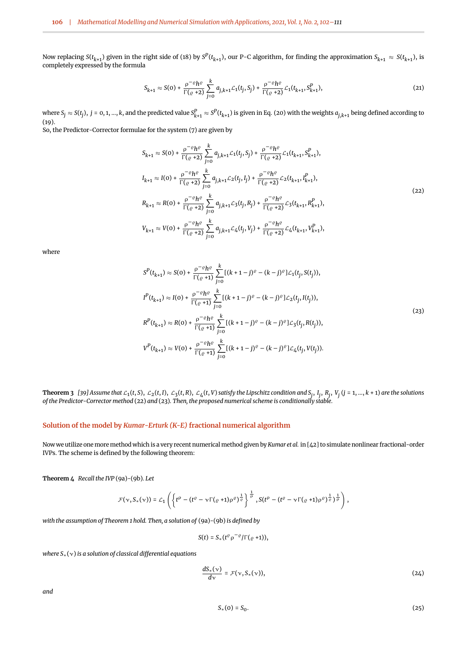Now replacing  $S(t_{k+1})$  given in the right side of [\(18\)](#page-3-3) by  $S^P(t_{k+1})$ , our P-C algorithm, for finding the approximation  $S_{k+1} \approx S(t_{k+1})$ , is completely expressed by the formula

$$
S_{k+1} \approx S(0) + \frac{\rho^{-\varrho} h^{\varrho}}{\Gamma(\varrho + 2)} \sum_{j=0}^{k} a_{j,k+1} \mathcal{L}_1(t_j, S_j) + \frac{\rho^{-\varrho} h^{\varrho}}{\Gamma(\varrho + 2)} \mathcal{L}_1(t_{k+1}, S_{k+1}^p),
$$
\n(21)

where  $S_j\approx S(t_j),\ j=0,1,...,k,$  and the predicted value  $S^P_{k+1}\approx S^P(t_{k+1})$  is given in Eq. [\(20\)](#page-3-4) with the weights  $a_{j,k+1}$  being defined according to [\(19\)](#page-3-5). So, the Predictor-Corrector formulae for the system [\(7\)](#page-2-2) are given by

<span id="page-4-0"></span>
$$
S_{k+1} \approx S(0) + \frac{\rho^{-\varrho}h^{\varrho}}{\Gamma(\varrho+2)} \sum_{j=0}^{k} a_{j,k+1} \mathcal{L}_{1}(t_{j}, S_{j}) + \frac{\rho^{-\varrho}h^{\varrho}}{\Gamma(\varrho+2)} \mathcal{L}_{1}(t_{k+1}, S_{k+1}^{p}),
$$
  
\n
$$
I_{k+1} \approx I(0) + \frac{\rho^{-\varrho}h^{\varrho}}{\Gamma(\varrho+2)} \sum_{j=0}^{k} a_{j,k+1} \mathcal{L}_{2}(t_{j}, I_{j}) + \frac{\rho^{-\varrho}h^{\varrho}}{\Gamma(\varrho+2)} \mathcal{L}_{2}(t_{k+1}, I_{k+1}^{p}),
$$
  
\n
$$
R_{k+1} \approx R(0) + \frac{\rho^{-\varrho}h^{\varrho}}{\Gamma(\varrho+2)} \sum_{j=0}^{k} a_{j,k+1} \mathcal{L}_{3}(t_{j}, R_{j}) + \frac{\rho^{-\varrho}h^{\varrho}}{\Gamma(\varrho+2)} \mathcal{L}_{3}(t_{k+1}, R_{k+1}^{p}),
$$
  
\n
$$
V_{k+1} \approx V(0) + \frac{\rho^{-\varrho}h^{\varrho}}{\Gamma(\varrho+2)} \sum_{j=0}^{k} a_{j,k+1} \mathcal{L}_{4}(t_{j}, V_{j}) + \frac{\rho^{-\varrho}h^{\varrho}}{\Gamma(\varrho+2)} \mathcal{L}_{4}(t_{k+1}, V_{k+1}^{p}),
$$
  
\n(22)

<span id="page-4-1"></span>where

$$
S^{P}(t_{k+1}) \approx S(0) + \frac{\rho^{-\varrho}h^{\varrho}}{\Gamma(\varrho+1)} \sum_{j=0}^{k} [(k+1-j)^{\varrho} - (k-j)^{\varrho}] \mathcal{L}_{1}(t_{j}, S(t_{j})),
$$
  
\n
$$
I^{P}(t_{k+1}) \approx I(0) + \frac{\rho^{-\varrho}h^{\varrho}}{\Gamma(\varrho+1)} \sum_{j=0}^{k} [(k+1-j)^{\varrho} - (k-j)^{\varrho}] \mathcal{L}_{2}(t_{j}, I(t_{j})),
$$
  
\n
$$
R^{P}(t_{k+1}) \approx R(0) + \frac{\rho^{-\varrho}h^{\varrho}}{\Gamma(\varrho+1)} \sum_{j=0}^{k} [(k+1-j)^{\varrho} - (k-j)^{\varrho}] \mathcal{L}_{3}(t_{j}, R(t_{j})),
$$
  
\n
$$
V^{P}(t_{k+1}) \approx V(0) + \frac{\rho^{-\varrho}h^{\varrho}}{\Gamma(\varrho+1)} \sum_{j=0}^{k} [(k+1-j)^{\varrho} - (k-j)^{\varrho}] \mathcal{L}_{4}(t_{j}, V(t_{j})).
$$
\n(23)

<span id="page-4-4"></span>**Theorem 3** [\[39\]](#page-9-16) Assume that  $\mathcal{L}_1(t,S)$ ,  $\mathcal{L}_2(t,I)$ ,  $\mathcal{L}_3(t,R)$ ,  $\mathcal{L}_4(t,V)$  satisfy the Lipschitz condition and  $S_j,$   $I_j,$   $R_j,$   $V_j$  (j = 1, …, k + 1) are the solutions *of the Predictor-Corrector method* [\(22\)](#page-4-0) *and* [\(23\)](#page-4-1)*. Then, the proposed numerical scheme is conditionally stable.*

### **Solution of the model by** *Kumar-Erturk (K-E)* **fractional numerical algorithm**

Now we utilize one more method which is a very recent numerical method given by *Kumar et al.* in [\[42\]](#page-9-19) to simulate nonlinear fractional-order IVPs. The scheme is defined by the following theorem:

**Theorem 4** *Recall the IVP* [\(9a\)](#page-2-3)*-*[\(9b\)](#page-2-4)*. Let*

$$
\mathcal{F}(\nu, S_*(\nu)) = \mathcal{L}_1\left(\left\{t^\rho - (t^\rho - \nu \Gamma(\rho + 1)\rho^\rho)^{\frac{1}{\varrho}}\right\}^{\frac{1}{\rho}}, S(t^\rho - (t^\rho - \nu \Gamma(\rho + 1)\rho^\rho)^{\frac{1}{\varrho}})^{\frac{1}{\rho}}\right),
$$

*with the assumption of Theorem [1](#page-2-5) hold. Then, a solution of* [\(9a\)](#page-2-3)*-*[\(9b\)](#page-2-4) *is defined by*

<span id="page-4-2"></span>
$$
S(t)=S_*(t^{\varrho}\rho^{-\varrho}/\Gamma(\varrho+1)),
$$

*where S*∗(ν) *is a solution of classical differential equations*

$$
\frac{dS_*(v)}{dv} = \mathcal{F}(v, S_*(v)),\tag{24}
$$

<span id="page-4-3"></span>*and*

$$
S_*(0) = S_0.
$$
 (25)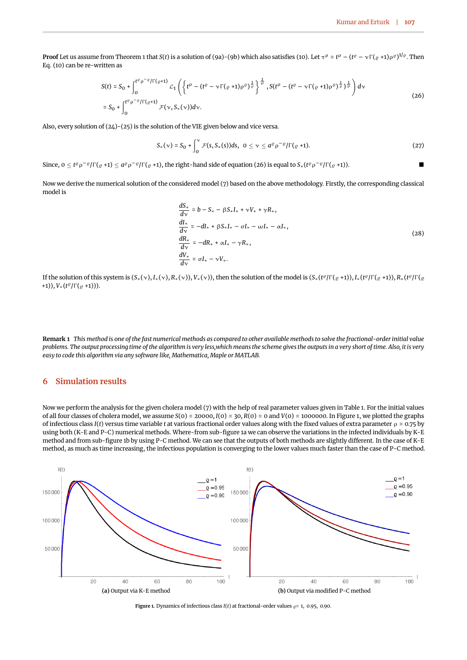**Proof** Let us assume from Theorem [1](#page-2-5) that *S*(*t*) is a solution of [\(9a\)](#page-2-3)-[\(9b\)](#page-2-4) which also satisfies [\(10\)](#page-2-6). Let  $\tau^\rho$  =  $t^\rho$  – ( $t^\varrho$  –  $\gamma\Gamma(\varrho$  +1) $\rho^\varrho)^{1/\varrho}.$  Then Eq. [\(10\)](#page-2-6) can be re-written as

<span id="page-5-1"></span>
$$
S(t) = S_0 + \int_0^{t^{\rho} \rho^{-\rho} / \Gamma(\rho+1)} L_1 \left( \left\{ t^{\rho} - (t^{\rho} - \nu \Gamma(\rho+1)\rho^{\rho})^{\frac{1}{\rho}} \right\}^{\frac{1}{\rho}}, S(t^{\rho} - (t^{\rho} - \nu \Gamma(\rho+1)\rho^{\rho})^{\frac{1}{\rho}})^{\frac{1}{\rho}} \right) dv
$$
  
=  $S_0 + \int_0^{t^{\rho} \rho^{-\rho} / \Gamma(\rho+1)} \mathcal{F}(\nu, S_*(\nu)) d\nu.$  (26)

Also, every solution of [\(24\)](#page-4-2)-[\(25\)](#page-4-3) is the solution of the VIE given below and vice versa.

$$
S_*(\nu) = S_0 + \int_0^{\nu} \mathcal{F}(s, S_*(s)) ds, \ \ 0 \leq \nu \leq a^{\varrho} \rho^{-\varrho} / \Gamma(\varrho + 1). \tag{27}
$$

Since,  $0 \le t^{\varrho} \rho^{-\varrho} / \Gamma(\varrho +1) \le a^{\varrho} \rho^{-\varrho} / \Gamma(\varrho +1)$ , the right-hand side of equation [\(26\)](#page-5-1) is equal to  $S_*(t^{\varrho} \rho^{-\varrho} / \Gamma(\varrho +1))$ .

Now we derive the numerical solution of the considered model [\(7\)](#page-2-2) based on the above methodology. Firstly, the corresponding classical model is

$$
\frac{dS_*}{d\nu} = b - S_* - \beta S_* I_* + \nu V_* + \gamma R_*,
$$
\n
$$
\frac{dI_*}{d\nu} = -dI_* + \beta S_* I_* - \sigma I_* - \omega I_* - \alpha I_*,
$$
\n
$$
\frac{dR_*}{d\nu} = -dR_* + \alpha I_* - \gamma R_*,
$$
\n
$$
\frac{dV_*}{d\nu} = \sigma I_* - \nu V_*.
$$
\n(28)

If the solution of this system is  $(S_*(v), I_*(v), R_*(v)), V_*(v)$ , then the solution of the model is  $(S_*(t^{\varrho}/\Gamma(\varrho+1)), I_*(t^{\varrho}/\Gamma(\varrho+1)), R_*(t^{\varrho}/\Gamma(\varrho+1))$ +1)), *V*∗(*t* ϱ /Γ(ϱ +1))).

**Remark 1** *This method is one of the fast numerical methods as compared to other available methods to solve the fractional-order initial value problems. The output processing time of the algorithm is very less,which means the scheme gives the outputs in a very short of time. Also, it is very easy to code this algorithm via any software like, Mathematica, Maple or MATLAB.*

## <span id="page-5-0"></span>**6 Simulation results**

Now we perform the analysis for the given cholera model [\(7\)](#page-2-2) with the help of real parameter values given in Table [1.](#page-2-1) For the initial values of all four classes of cholera model, we assume *S*(0) = 20000, *I*(0) = 30, *R*(0) = 0 and *V*(0) = 1000000. In Figure [1,](#page-5-2) we plotted the graphs of infectious class *I*(*t*) versus time variable *t* at various fractional order values along with the fixed values of extra parameter  $\rho = 0.75$  by using both (K-E and P-C) numerical methods. Where-from sub-figure [1a](#page-5-2) we can observe the variations in the infected individuals by K-E method and from sub-figure [1b](#page-5-2) by using P-C method. We can see that the outputs of both methods are slightly different. In the case of K-E method, as much as time increasing, the infectious population is converging to the lower values much faster than the case of P-C method.

<span id="page-5-2"></span>

**Figure 1.** Dynamics of infectious class  $I(t)$  at fractional-order values  $\rho$ = 1, 0.95, 0.90.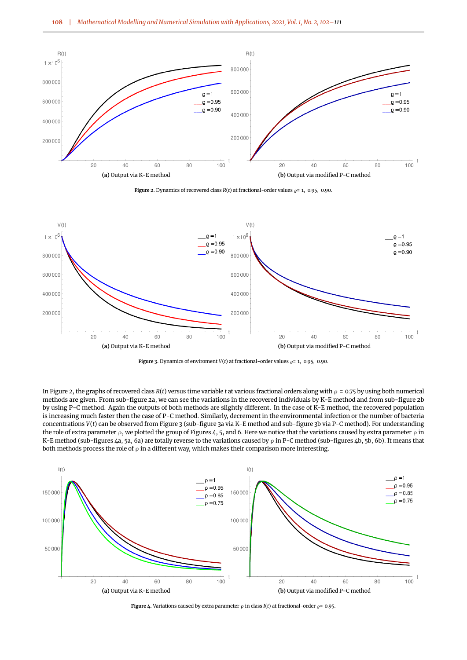<span id="page-6-0"></span>

**Figure 2.** Dynamics of recovered class  $R(t)$  at fractional-order values  $\varrho$ = 1, 0.95, 0.90.

<span id="page-6-1"></span>

**Figure 3.** Dynamics of enviroment  $V(t)$  at fractional-order values  $\rho = 1$ , 0.95, 0.90.

In Figure [2,](#page-6-0) the graphs of recovered class *R*(*t*) versus time variable *t* at various fractional orders along with ρ = 0.75 by using both numerical methods are given. From sub-figure [2a,](#page-6-0) we can see the variations in the recovered individuals by K-E method and from sub-figure [2b](#page-6-0) by using P-C method. Again the outputs of both methods are slightly different. In the case of K-E method, the recovered population is increasing much faster then the case of P-C method. Similarly, decrement in the environmental infection or the number of bacteria concentrations *V*(*t*) can be observed from Figure [3](#page-6-1) (sub-figure [3a](#page-6-1) via K-E method and sub-figure [3b](#page-6-1) via P-C method). For understanding the role of extra parameter ρ, we plotted the group of Figures [4,](#page-6-2) [5,](#page-7-1) and [6.](#page-7-2) Here we notice that the variations caused by extra parameter ρ in K-E method (sub-figures [4a,](#page-6-2) [5a,](#page-7-1) [6a\)](#page-7-2) are totally reverse to the variations caused by  $\rho$  in P-C method (sub-figures [4b,](#page-6-2) [5b,](#page-7-1) [6b\)](#page-7-2). It means that both methods process the role of  $\rho$  in a different way, which makes their comparison more interesting.

<span id="page-6-2"></span>

**Figure 4.** Variations caused by extra parameter  $\rho$  in class *I*(*t*) at fractional-order  $\rho$  = 0.95.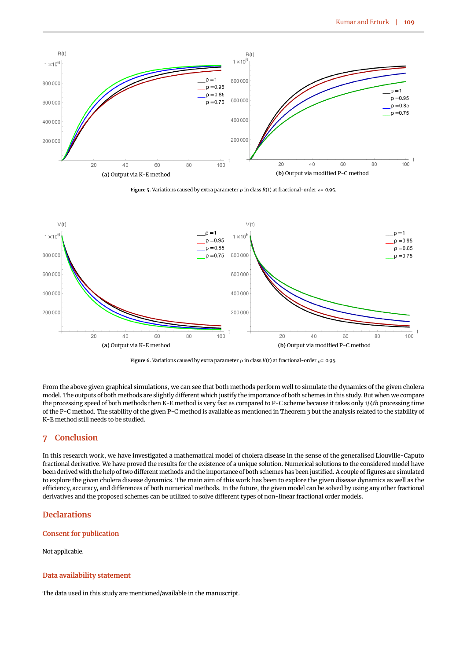<span id="page-7-1"></span>

**Figure 5.** Variations caused by extra parameter  $\rho$  in class  $R(t)$  at fractional-order  $\rho = 0.95$ .

<span id="page-7-2"></span>

**Figure 6.** Variations caused by extra parameter  $\rho$  in class  $V(t)$  at fractional-order  $\rho = 0.95$ .

From the above given graphical simulations, we can see that both methods perform well to simulate the dynamics of the given cholera model. The outputs of both methods are slightly different which justify the importance of both schemes in this study. But when we compare the processing speed of both methods then K-E method is very fast as compared to P-C scheme because it takes only 1/4*th* processing time of the P-C method. The stability of the given P-C method is available as mentioned in Theorem [3](#page-4-4) but the analysis related to the stability of K-E method still needs to be studied.

## <span id="page-7-0"></span>**7 Conclusion**

In this research work, we have investigated a mathematical model of cholera disease in the sense of the generalised Liouville-Caputo fractional derivative. We have proved the results for the existence of a unique solution. Numerical solutions to the considered model have been derived with the help of two different methods and the importance of both schemes has been justified. A couple of figures are simulated to explore the given cholera disease dynamics. The main aim of this work has been to explore the given disease dynamics as well as the efficiency, accuracy, and differences of both numerical methods. In the future, the given model can be solved by using any other fractional derivatives and the proposed schemes can be utilized to solve different types of non-linear fractional order models.

## **Declarations**

#### **Consent for publication**

Not applicable.

#### **Data availability statement**

The data used in this study are mentioned/available in the manuscript.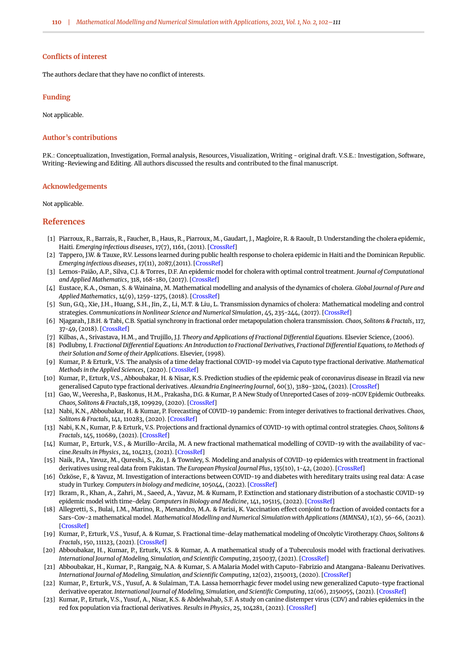#### **Conflicts of interest**

The authors declare that they have no conflict of interests.

#### **Funding**

Not applicable.

#### **Author's contributions**

P.K.: Conceptualization, Investigation, Formal analysis, Resources, Visualization, Writing - original draft. V.S.E.: Investigation, Software, Writing-Reviewing and Editing. All authors discussed the results and contributed to the final manuscript.

#### **Acknowledgements**

Not applicable.

#### **References**

- <span id="page-8-0"></span>[1] Piarroux, R., Barrais, R., Faucher, B., Haus, R., Piarroux, M., Gaudart, J., Magloire, R. & Raoult, D. Understanding the cholera epidemic, Haiti. *Emerging infectious diseases*, 17(7), 1161, (2011). [\[CrossRef\]](https://doi.org/10.3201/eid1707.110059)
- <span id="page-8-1"></span>[2] Tappero, J.W. & Tauxe, R.V. Lessons learned during public health response to cholera epidemic in Haiti and the Dominican Republic. *Emerging infectious diseases*, 17(11), 2087,(2011). [\[CrossRef\]](https://doi.org/10.3201/eid1711.110827)
- <span id="page-8-2"></span>[3] Lemos-Paião, A.P., Silva, C.J. & Torres, D.F. An epidemic model for cholera with optimal control treatment. *Journal of Computational and Applied Mathematics*, 318, 168-180, (2017). [\[CrossRef\]](https://doi.org/10.1016/j.cam.2016.11.002)
- <span id="page-8-3"></span>[4] Eustace, K.A., Osman, S. & Wainaina, M. Mathematical modelling and analysis of the dynamics of cholera. *Global Journal of Pure and Applied Mathematics*, 14(9), 1259-1275, (2018). [\[CrossRef\]](https://doi.org/10.1016/j.cam.2016.11.002)
- <span id="page-8-4"></span>[5] Sun, G.Q., Xie, J.H., Huang, S.H., Jin, Z., Li, M.T. & Liu, L. Transmission dynamics of cholera: Mathematical modeling and control strategies. *Communications in Nonlinear Science and Numerical Simulation*, 45, 235-244, (2017). [\[CrossRef\]](https://doi.org/10.1016/j.cnsns.2016.10.007)
- <span id="page-8-5"></span>[6] Njagarah, J.B.H. & Tabi, C.B. Spatial synchrony in fractional order metapopulation cholera transmission. *Chaos, Solitons & Fractals*, 117, 37-49, (2018). [\[CrossRef\]](https://doi.org/10.1016/j.chaos.2018.10.004)
- <span id="page-8-6"></span>[7] Kilbas, A., Srivastava, H.M., and Trujillo, J.J. *Theory and Applications of Fractional Differential Equations*. Elsevier Science, (2006).
- <span id="page-8-7"></span>[8] Podlubny, I. *Fractional Differential Equations: An Introduction to Fractional Derivatives, Fractional Differential Equations, to Methods of their Solution and Some of their Applications*. Elsevier, (1998).
- <span id="page-8-8"></span>[9] Kumar, P. & Erturk, V.S. The analysis of a time delay fractional COVID-19 model via Caputo type fractional derivative. *Mathematical Methods in the Applied Sciences*, (2020). [\[CrossRef\]](https://doi.org/10.1002/mma.6935)
- <span id="page-8-9"></span>[10] Kumar, P., Erturk, V.S., Abboubakar, H. & Nisar, K.S. Prediction studies of the epidemic peak of coronavirus disease in Brazil via new generalised Caputo type fractional derivatives. *Alexandria Engineering Journal*, 60(3), 3189-3204, (2021). [\[CrossRef\]](https://doi.org/10.1016/j.aej.2021.01.032)
- <span id="page-8-10"></span>[11] Gao, W., Veeresha, P., Baskonus, H.M., Prakasha, D.G. & Kumar, P. A New Study of Unreported Cases of 2019-nCOV Epidemic Outbreaks. *Chaos, Solitons & Fractals*,138, 109929, (2020). [\[CrossRef\]](https://doi.org/10.1016/j.chaos.2020.109929)
- <span id="page-8-11"></span>[12] Nabi, K.N., Abboubakar, H. & Kumar, P. Forecasting of COVID-19 pandemic: From integer derivatives to fractional derivatives. *Chaos, Solitons & Fractals*, 141, 110283, (2020). [\[CrossRef\]](https://doi.org/10.1016/j.chaos.2020.110283)
- <span id="page-8-12"></span>[13] Nabi, K.N., Kumar, P. & Erturk, V.S. Projections and fractional dynamics of COVID-19 with optimal control strategies. *Chaos, Solitons & Fractals*, 145, 110689, (2021). [\[CrossRef\]](https://doi.org/10.1016/j.chaos.2021.110689)
- <span id="page-8-13"></span>[14] Kumar, P., Erturk, V.S., & Murillo-Arcila, M. A new fractional mathematical modelling of COVID-19 with the availability of vaccine.*Results in Physics*, 24, 104213, (2021). [\[CrossRef\]](https://doi.org/10.1016/j.rinp.2021.104213)
- <span id="page-8-14"></span>[15] Naik, P.A., Yavuz, M., Qureshi, S., Zu, J. & Townley, S. Modeling and analysis of COVID-19 epidemics with treatment in fractional derivatives using real data from Pakistan. *The European Physical Journal Plus*, 135(10), 1-42, (2020). [\[CrossRef\]](https://doi.org/10.1140/epjp/s13360-020-00819-5)
- <span id="page-8-15"></span>[16] Özköse, F., & Yavuz, M. Investigation of interactions between COVID-19 and diabetes with hereditary traits using real data: A case study in Turkey. *Computers in biology and medicine,* 105044, (2022). [\[CrossRef\]](https://doi.org/10.1016/j.compbiomed.2021.105044)
- <span id="page-8-16"></span>[17] Ikram, R., Khan, A., Zahri, M., Saeed, A., Yavuz, M. & Kumam, P. Extinction and stationary distribution of a stochastic COVID-19 epidemic model with time-delay. *Computers in Biology and Medicine*, 141, 105115, (2022). [\[CrossRef\]](https://doi.org/10.1016/j.compbiomed.2021.105115)
- <span id="page-8-17"></span>[18] Allegretti, S., Bulai, I.M., Marino, R., Menandro, M.A. & Parisi, K. Vaccination effect conjoint to fraction of avoided contacts for a Sars-Cov-2 mathematical model. *Mathematical Modelling and Numerical Simulation with Applications (MMNSA)*, 1(2), 56-66, (2021). [\[CrossRef\]](https://doi.org/10.53391/mmnsa.2021.01.006)
- <span id="page-8-18"></span>[19] Kumar, P., Erturk, V.S., Yusuf, A. & Kumar, S. Fractional time-delay mathematical modeling of Oncolytic Virotherapy. *Chaos, Solitons & Fractals*, 150, 111123, (2021). [\[CrossRef\]](https://doi.org/10.1016/j.chaos.2021.111123)
- <span id="page-8-19"></span>[20] Abboubakar, H., Kumar, P., Erturk, V.S. & Kumar, A. A mathematical study of a Tuberculosis model with fractional derivatives. *International Journal of Modeling, Simulation, and Scientific Computing*, 2150037, (2021). [\[CrossRef\]](https://doi.org/10.1142/S1793962321500379)
- <span id="page-8-20"></span>[21] Abboubakar, H., Kumar, P., Rangaig, N.A. & Kumar, S. A Malaria Model with Caputo-Fabrizio and Atangana-Baleanu Derivatives. *International Journal of Modeling, Simulation, and Scientific Computing*, 12(02), 2150013, (2020). [\[CrossRef\]](https://doi.org/10.1142/S1793962321500136)
- <span id="page-8-21"></span>[22] Kumar, P., Erturk, V.S., Yusuf, A. & Sulaiman, T.A. Lassa hemorrhagic fever model using new generalized Caputo-type fractional derivative operator. *International Journal of Modeling, Simulation, and Scientific Computing*, 12(06), 2150055, (2021). [\[CrossRef\]](https://doi.org/10.1142/S1793962321500550)
- <span id="page-8-22"></span>[23] Kumar, P., Erturk, V.S., Yusuf, A., Nisar, K.S. & Abdelwahab, S.F. A study on canine distemper virus (CDV) and rabies epidemics in the red fox population via fractional derivatives. *Results in Physics*, 25, 104281, (2021). [\[CrossRef\]](https://doi.org/10.1016/j.rinp.2021.104281)